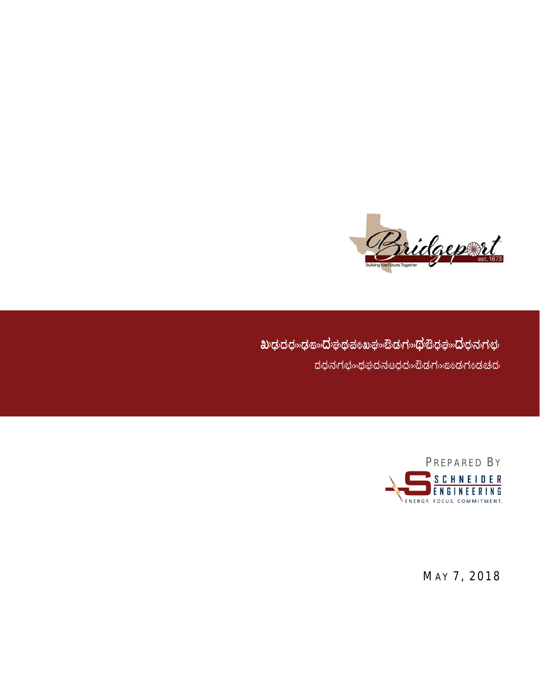

 $\partial \mathbf{C}$  **C**  $\partial \mathbf{C}$  a  $\partial \mathbf{C}$   $\partial \mathbf{C}$   $\partial \mathbf{C}$   $\partial \mathbf{C}$   $\partial \mathbf{C}$   $\partial \mathbf{C}$   $\partial \mathbf{C}$   $\partial \mathbf{C}$   $\partial \mathbf{C}$   $\partial \mathbf{C}$   $\partial \mathbf{C}$   $\partial \mathbf{C}$  $\sigma$ ದರಿಧನಗುಭ $\gg$ ಥುಘದನು $\omega$ ಧದ $\gg$ ಬಿಡುಗ $\gg$ ಬಹುದುಗುಬದು



MAY 7, 2018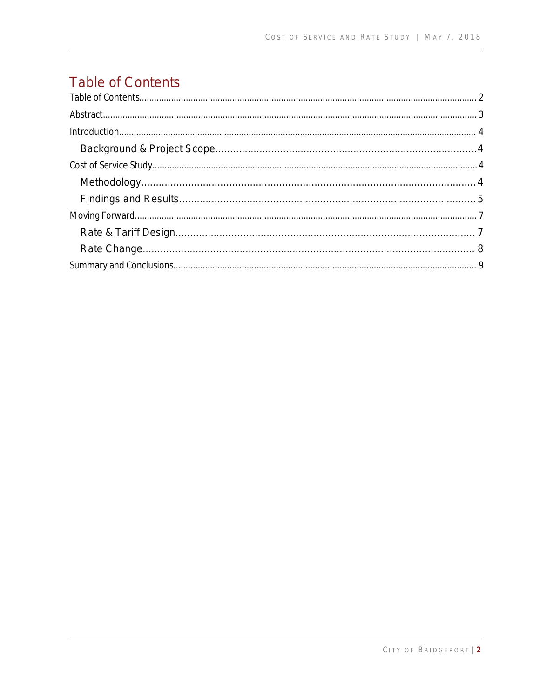# **Table of Contents**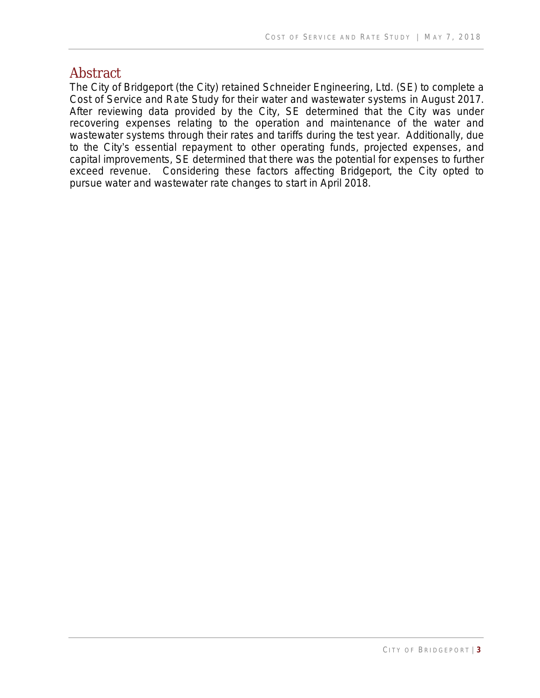### <span id="page-2-0"></span>**Abstract**

The City of Bridgeport (the City) retained Schneider Engineering, Ltd. (SE) to complete a Cost of Service and Rate Study for their water and wastewater systems in August 2017. After reviewing data provided by the City, SE determined that the City was under recovering expenses relating to the operation and maintenance of the water and wastewater systems through their rates and tariffs during the test year. Additionally, due to the City's essential repayment to other operating funds, projected expenses, and capital improvements, SE determined that there was the potential for expenses to further exceed revenue. Considering these factors affecting Bridgeport, the City opted to pursue water and wastewater rate changes to start in April 2018.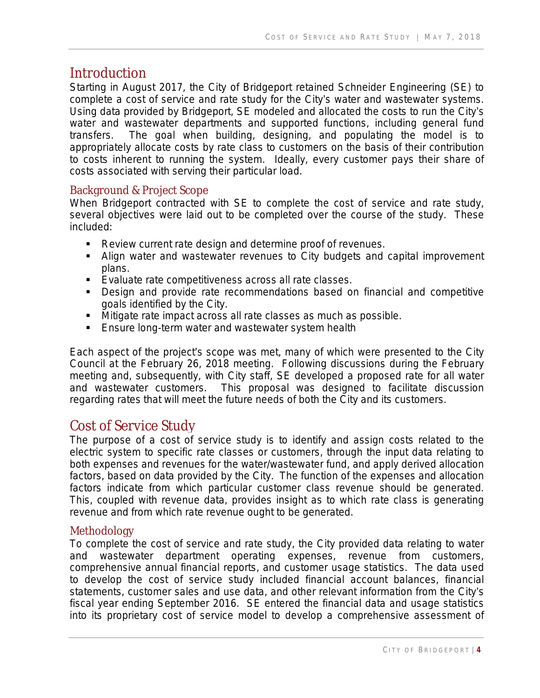# <span id="page-3-0"></span>**Introduction**

Starting in August 2017, the City of Bridgeport retained Schneider Engineering (SE) to complete a cost of service and rate study for the City's water and wastewater systems. Using data provided by Bridgeport, SE modeled and allocated the costs to run the City's water and wastewater departments and supported functions, including general fund transfers. The goal when building, designing, and populating the model is to appropriately allocate costs by rate class to customers on the basis of their contribution to costs inherent to running the system. Ideally, every customer pays their share of costs associated with serving their particular load.

### <span id="page-3-1"></span>Background & Project Scope

When Bridgeport contracted with SE to complete the cost of service and rate study, several objectives were laid out to be completed over the course of the study. These included:

- **Review current rate design and determine proof of revenues.**
- Align water and wastewater revenues to City budgets and capital improvement plans.
- **Evaluate rate competitiveness across all rate classes.**
- **Design and provide rate recommendations based on financial and competitive** goals identified by the City.
- Mitigate rate impact across all rate classes as much as possible.
- Ensure long-term water and wastewater system health

Each aspect of the project's scope was met, many of which were presented to the City Council at the February 26, 2018 meeting. Following discussions during the February meeting and, subsequently, with City staff, SE developed a proposed rate for all water and wastewater customers. This proposal was designed to facilitate discussion regarding rates that will meet the future needs of both the City and its customers.

## <span id="page-3-2"></span>Cost of Service Study

The purpose of a cost of service study is to identify and assign costs related to the electric system to specific rate classes or customers, through the input data relating to both expenses and revenues for the water/wastewater fund, and apply derived allocation factors, based on data provided by the City. The function of the expenses and allocation factors indicate from which particular customer class revenue should be generated. This, coupled with revenue data, provides insight as to which rate class is generating revenue and from which rate revenue ought to be generated.

### <span id="page-3-3"></span>Methodology

To complete the cost of service and rate study, the City provided data relating to water and wastewater department operating expenses, revenue from customers, comprehensive annual financial reports, and customer usage statistics. The data used to develop the cost of service study included financial account balances, financial statements, customer sales and use data, and other relevant information from the City's fiscal year ending September 2016. SE entered the financial data and usage statistics into its proprietary cost of service model to develop a comprehensive assessment of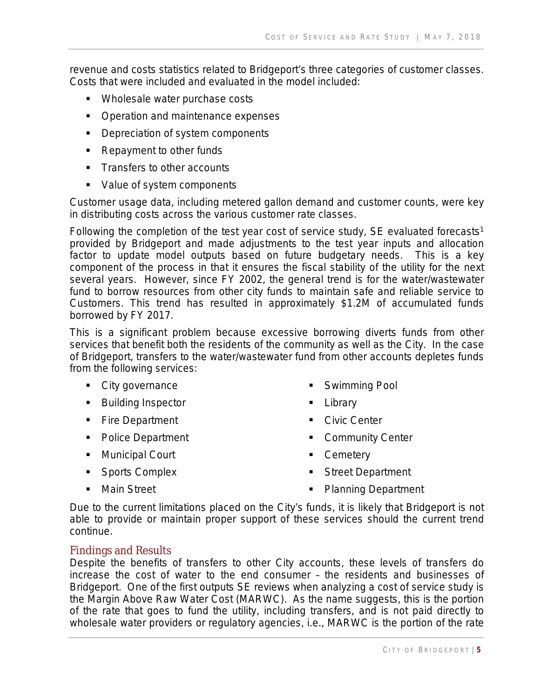revenue and costs statistics related to Bridgeport's three categories of customer classes. Costs that were included and evaluated in the model included:

- **Wholesale water purchase costs**
- Operation and maintenance expenses
- **•** Depreciation of system components
- Repayment to other funds
- **Transfers to other accounts**
- Value of system components

Customer usage data, including metered gallon demand and customer counts, were key in distributing costs across the various customer rate classes.

Following the completion of the test year cost of service study, SE evaluated forecasts<sup>1</sup> provided by Bridgeport and made adjustments to the test year inputs and allocation factor to update model outputs based on future budgetary needs. This is a key component of the process in that it ensures the fiscal stability of the utility for the next several years. However, since FY 2002, the general trend is for the water/wastewater fund to borrow resources from other city funds to maintain safe and reliable service to Customers. This trend has resulted in approximately \$1.2M of accumulated funds borrowed by FY 2017.

This is a significant problem because excessive borrowing diverts funds from other services that benefit both the residents of the community as well as the City. In the case of Bridgeport, transfers to the water/wastewater fund from other accounts depletes funds from the following services:

- City governance
- **Building Inspector**
- **Fire Department**
- Police Department
- Municipal Court
- **Sports Complex**
- **Swimming Pool Library**
- Civic Center
- **Community Center**
- Cemetery
- **Street Department**

**Main Street** 

• Planning Department

Due to the current limitations placed on the City's funds, it is likely that Bridgeport is not able to provide or maintain proper support of these services should the current trend continue.

#### <span id="page-4-0"></span>Findings and Results

Despite the benefits of transfers to other City accounts, these levels of transfers do increase the cost of water to the end consumer – the residents and businesses of Bridgeport. One of the first outputs SE reviews when analyzing a cost of service study is the Margin Above Raw Water Cost (MARWC). As the name suggests, this is the portion of the rate that goes to fund the utility, including transfers, and is not paid directly to wholesale water providers or regulatory agencies, i.e., MARWC is the portion of the rate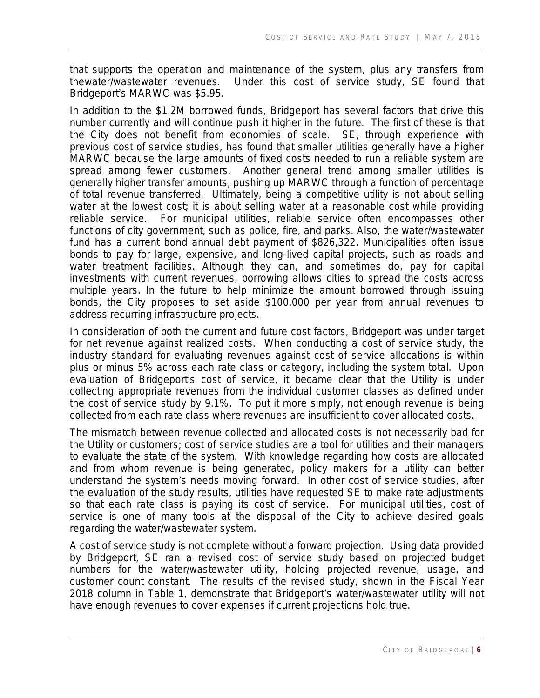that supports the operation and maintenance of the system, plus any transfers from thewater/wastewater revenues. Under this cost of service study, SE found that Bridgeport's MARWC was \$5.95.

In addition to the \$1.2M borrowed funds, Bridgeport has several factors that drive this number currently and will continue push it higher in the future. The first of these is that the City does not benefit from economies of scale. SE, through experience with previous cost of service studies, has found that smaller utilities generally have a higher MARWC because the large amounts of fixed costs needed to run a reliable system are spread among fewer customers. Another general trend among smaller utilities is generally higher transfer amounts, pushing up MARWC through a function of percentage of total revenue transferred. Ultimately, being a competitive utility is not about selling water at the lowest cost; it is about selling water at a reasonable cost while providing reliable service. For municipal utilities, reliable service often encompasses other functions of city government, such as police, fire, and parks. Also, the water/wastewater fund has a current bond annual debt payment of \$826,322. Municipalities often issue bonds to pay for large, expensive, and long-lived capital projects, such as roads and water treatment facilities. Although they can, and sometimes do, pay for capital investments with current revenues, borrowing allows cities to spread the costs across multiple years. In the future to help minimize the amount borrowed through issuing bonds, the City proposes to set aside \$100,000 per year from annual revenues to address recurring infrastructure projects.

In consideration of both the current and future cost factors, Bridgeport was under target for net revenue against realized costs. When conducting a cost of service study, the industry standard for evaluating revenues against cost of service allocations is within plus or minus 5% across each rate class or category, including the system total. Upon evaluation of Bridgeport's cost of service, it became clear that the Utility is under collecting appropriate revenues from the individual customer classes as defined under the cost of service study by 9.1%. To put it more simply, not enough revenue is being collected from each rate class where revenues are insufficient to cover allocated costs.

The mismatch between revenue collected and allocated costs is not necessarily bad for the Utility or customers; cost of service studies are a tool for utilities and their managers to evaluate the state of the system. With knowledge regarding how costs are allocated and from whom revenue is being generated, policy makers for a utility can better understand the system's needs moving forward. In other cost of service studies, after the evaluation of the study results, utilities have requested SE to make rate adjustments so that each rate class is paying its cost of service. For municipal utilities, cost of service is one of many tools at the disposal of the City to achieve desired goals regarding the water/wastewater system.

A cost of service study is not complete without a forward projection. Using data provided by Bridgeport, SE ran a revised cost of service study based on projected budget numbers for the water/wastewater utility, holding projected revenue, usage, and customer count constant. The results of the revised study, shown in the Fiscal Year 2018 column in Table 1, demonstrate that Bridgeport's water/wastewater utility will not have enough revenues to cover expenses if current projections hold true.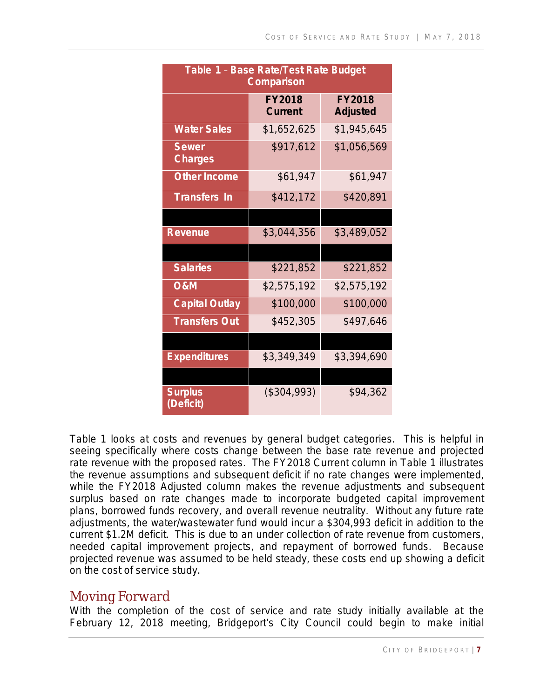| Table 1 - Base Rate/Test Rate Budget<br><b>Comparison</b> |                          |                                  |  |  |  |  |  |  |
|-----------------------------------------------------------|--------------------------|----------------------------------|--|--|--|--|--|--|
|                                                           | <b>FY2018</b><br>Current | <b>FY2018</b><br><b>Adjusted</b> |  |  |  |  |  |  |
| <b>Water Sales</b>                                        | \$1,652,625              | \$1,945,645                      |  |  |  |  |  |  |
| <b>Sewer</b><br><b>Charges</b>                            | \$917,612                | \$1,056,569                      |  |  |  |  |  |  |
| <b>Other Income</b>                                       | \$61,947                 | \$61,947                         |  |  |  |  |  |  |
| <b>Transfers In</b>                                       | \$412,172                | \$420,891                        |  |  |  |  |  |  |
|                                                           |                          |                                  |  |  |  |  |  |  |
| <b>Revenue</b>                                            | \$3,044,356              | \$3,489,052                      |  |  |  |  |  |  |
|                                                           |                          |                                  |  |  |  |  |  |  |
| <b>Salaries</b>                                           | \$221,852                | \$221,852                        |  |  |  |  |  |  |
| <b>O&amp;M</b>                                            | \$2,575,192              | \$2,575,192                      |  |  |  |  |  |  |
| <b>Capital Outlay</b>                                     | \$100,000                | \$100,000                        |  |  |  |  |  |  |
| <b>Transfers Out</b>                                      | \$452,305                | \$497,646                        |  |  |  |  |  |  |
|                                                           |                          |                                  |  |  |  |  |  |  |
| <b>Expenditures</b>                                       | \$3,349,349              | \$3,394,690                      |  |  |  |  |  |  |
|                                                           |                          |                                  |  |  |  |  |  |  |
| <b>Surplus</b><br>(Deficit)                               | (\$304,993)              | \$94,362                         |  |  |  |  |  |  |

Table 1 looks at costs and revenues by general budget categories. This is helpful in seeing specifically where costs change between the base rate revenue and projected rate revenue with the proposed rates. The FY2018 Current column in Table 1 illustrates the revenue assumptions and subsequent deficit if no rate changes were implemented, while the FY2018 Adjusted column makes the revenue adjustments and subsequent surplus based on rate changes made to incorporate budgeted capital improvement plans, borrowed funds recovery, and overall revenue neutrality. Without any future rate adjustments, the water/wastewater fund would incur a \$304,993 deficit in addition to the current \$1.2M deficit. This is due to an under collection of rate revenue from customers, needed capital improvement projects, and repayment of borrowed funds. Because projected revenue was assumed to be held steady, these costs end up showing a deficit on the cost of service study.

## <span id="page-6-0"></span>Moving Forward

With the completion of the cost of service and rate study initially available at the February 12, 2018 meeting, Bridgeport's City Council could begin to make initial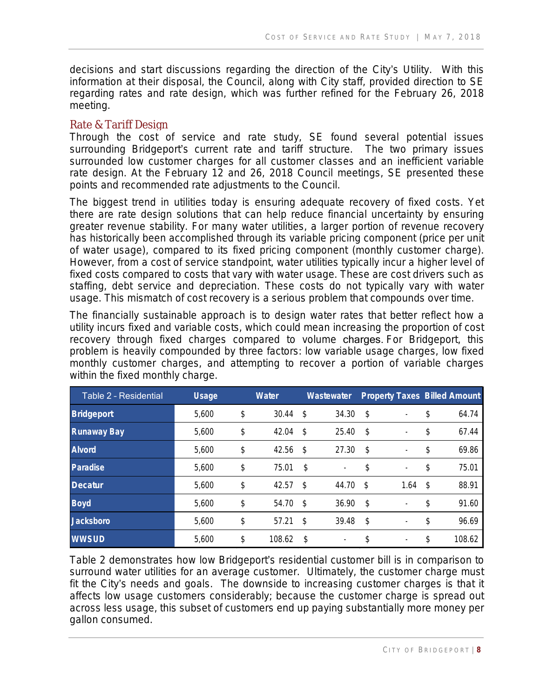decisions and start discussions regarding the direction of the City's Utility. With this information at their disposal, the Council, along with City staff, provided direction to SE regarding rates and rate design, which was further refined for the February 26, 2018 meeting.

#### <span id="page-7-0"></span>Rate & Tariff Design

Through the cost of service and rate study, SE found several potential issues surrounding Bridgeport's current rate and tariff structure. The two primary issues surrounded low customer charges for all customer classes and an inefficient variable rate design. At the February 12 and 26, 2018 Council meetings, SE presented these points and recommended rate adjustments to the Council.

The biggest trend in utilities today is ensuring adequate recovery of fixed costs. Yet there are rate design solutions that can help reduce financial uncertainty by ensuring greater revenue stability. For many water utilities, a larger portion of revenue recovery has historically been accomplished through its variable pricing component (price per unit of water usage), compared to its fixed pricing component (monthly customer charge). However, from a cost of service standpoint, water utilities typically incur a higher level of fixed costs compared to costs that vary with water usage. These are cost drivers such as staffing, debt service and depreciation. These costs do not typically vary with water usage. This mismatch of cost recovery is a serious problem that compounds over time.

The financially sustainable approach is to design water rates that better reflect how a utility incurs fixed and variable costs, which could mean increasing the proportion of cost recovery through fixed charges compared to volume charges. For Bridgeport, this problem is heavily compounded by three factors: low variable usage charges, low fixed monthly customer charges, and attempting to recover a portion of variable charges within the fixed monthly charge.

| Table 2 - Residential | <b>Usage</b> | <b>Water</b> | Wastewater |                          | <b>Property Taxes Billed Amount</b> |                          |     |        |
|-----------------------|--------------|--------------|------------|--------------------------|-------------------------------------|--------------------------|-----|--------|
| <b>Bridgeport</b>     | 5,600        | \$<br>30.44  | \$         | 34.30                    | -\$                                 |                          | \$  | 64.74  |
| <b>Runaway Bay</b>    | 5,600        | \$<br>42.04  | \$         | 25.40                    | -\$                                 | $\overline{\phantom{a}}$ | \$  | 67.44  |
| <b>Alvord</b>         | 5,600        | \$<br>42.56  | \$         | 27.30                    | -\$                                 | ۰.                       | \$  | 69.86  |
| <b>Paradise</b>       | 5,600        | \$<br>75.01  | \$         | ۰                        | \$                                  | $\overline{\phantom{a}}$ | \$  | 75.01  |
| <b>Decatur</b>        | 5,600        | \$<br>42.57  | \$         | 44.70                    | Ŝ.                                  | 1.64                     | -\$ | 88.91  |
| <b>Boyd</b>           | 5,600        | \$<br>54.70  | \$         | 36.90                    | -\$                                 |                          | \$  | 91.60  |
| <b>Jacksboro</b>      | 5,600        | \$<br>57.21  | \$         | 39.48                    | -\$                                 |                          | \$  | 96.69  |
| <b>WWSUD</b>          | 5,600        | \$<br>108.62 | \$         | $\overline{\phantom{a}}$ | \$                                  |                          | \$  | 108.62 |

Table 2 demonstrates how low Bridgeport's residential customer bill is in comparison to surround water utilities for an average customer. Ultimately, the customer charge must fit the City's needs and goals. The downside to increasing customer charges is that it affects low usage customers considerably; because the customer charge is spread out across less usage, this subset of customers end up paying substantially more money per gallon consumed.